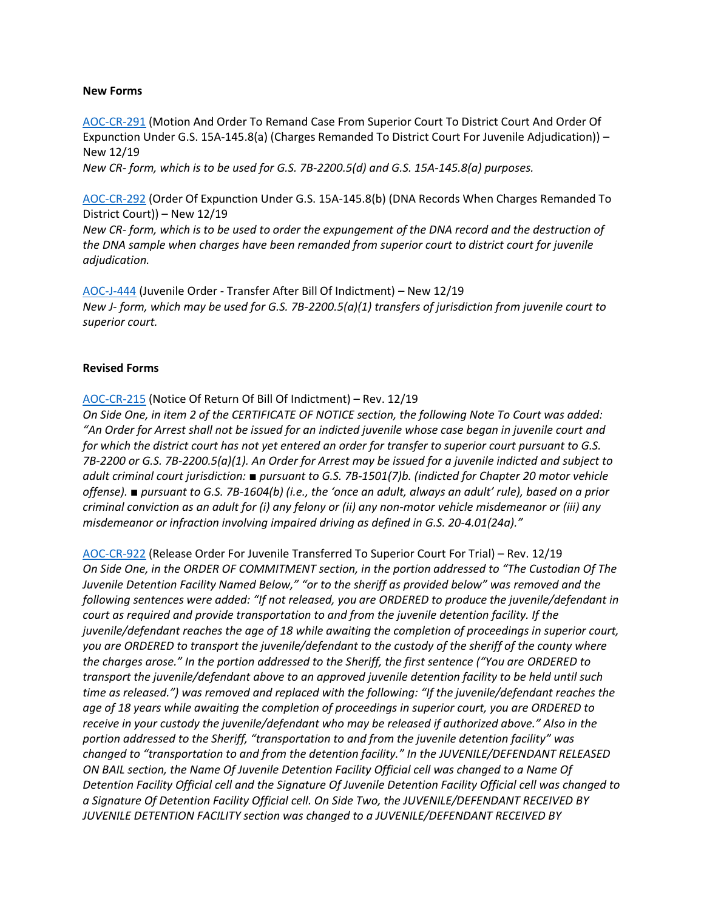#### **New Forms**

[AOC-CR-291](https://www.nccourts.gov/documents/forms/motion-and-order-to-remand-case-from-superior-court-to-district-court-and-order-of-expunction-under-gs-15a-1458a-charges-remanded-to-district-court-for-juvenile-adjudication) (Motion And Order To Remand Case From Superior Court To District Court And Order Of Expunction Under G.S. 15A-145.8(a) (Charges Remanded To District Court For Juvenile Adjudication)) – New 12/19 *New CR- form, which is to be used for G.S. 7B-2200.5(d) and G.S. 15A-145.8(a) purposes.*

[AOC-CR-292](https://www.nccourts.gov/documents/forms/order-of-expunction-under-gs-15a-1458b-dna-records-when-charges-remanded-to-district-court) (Order Of Expunction Under G.S. 15A-145.8(b) (DNA Records When Charges Remanded To District Court)) – New 12/19

*New CR- form, which is to be used to order the expungement of the DNA record and the destruction of the DNA sample when charges have been remanded from superior court to district court for juvenile adjudication.*

[AOC-J-444](https://www.nccourts.gov/documents/forms/juvenile-order-transfer-after-bill-of-indictment) (Juvenile Order - Transfer After Bill Of Indictment) – New 12/19 *New J- form, which may be used for G.S. 7B-2200.5(a)(1) transfers of jurisdiction from juvenile court to superior court.*

#### **Revised Forms**

[AOC-CR-215](https://www.nccourts.gov/documents/forms/notice-of-return-of-bill-of-indictment) (Notice Of Return Of Bill Of Indictment) – Rev. 12/19

*On Side One, in item 2 of the CERTIFICATE OF NOTICE section, the following Note To Court was added:*  "An Order for Arrest shall not be issued for an indicted juvenile whose case began in juvenile court and *for which the district court has not yet entered an order for transfer to superior court pursuant to G.S. 7B-2200 or G.S. 7B-2200.5(a)(1). An Order for Arrest may be issued for a juvenile indicted and subject to adult criminal court jurisdiction: ■ pursuant to G.S. 7B-1501(7)b. (indicted for Chapter 20 motor vehicle offense). ■ pursuant to G.S. 7B-1604(b) (i.e., the 'once an adult, always an adult' rule), based on a prior criminal conviction as an adult for (i) any felony or (ii) any non-motor vehicle misdemeanor or (iii) any misdemeanor or infraction involving impaired driving as defined in G.S. 20-4.01(24a)."*

[AOC-CR-922](https://www.nccourts.gov/documents/forms/release-order-for-juvenile-transferred-to-superior-court-for-trial) (Release Order For Juvenile Transferred To Superior Court For Trial) – Rev. 12/19 *On Side One, in the ORDER OF COMMITMENT section, in the portion addressed to "The Custodian Of The Juvenile Detention Facility Named Below," "or to the sheriff as provided below" was removed and the following sentences were added: "If not released, you are ORDERED to produce the juvenile/defendant in court as required and provide transportation to and from the juvenile detention facility. If the juvenile/defendant reaches the age of 18 while awaiting the completion of proceedings in superior court, you are ORDERED to transport the juvenile/defendant to the custody of the sheriff of the county where the charges arose." In the portion addressed to the Sheriff, the first sentence ("You are ORDERED to transport the juvenile/defendant above to an approved juvenile detention facility to be held until such time as released.") was removed and replaced with the following: "If the juvenile/defendant reaches the age of 18 years while awaiting the completion of proceedings in superior court, you are ORDERED to receive in your custody the juvenile/defendant who may be released if authorized above." Also in the portion addressed to the Sheriff, "transportation to and from the juvenile detention facility" was changed to "transportation to and from the detention facility." In the JUVENILE/DEFENDANT RELEASED ON BAIL section, the Name Of Juvenile Detention Facility Official cell was changed to a Name Of Detention Facility Official cell and the Signature Of Juvenile Detention Facility Official cell was changed to a Signature Of Detention Facility Official cell. On Side Two, the JUVENILE/DEFENDANT RECEIVED BY JUVENILE DETENTION FACILITY section was changed to a JUVENILE/DEFENDANT RECEIVED BY*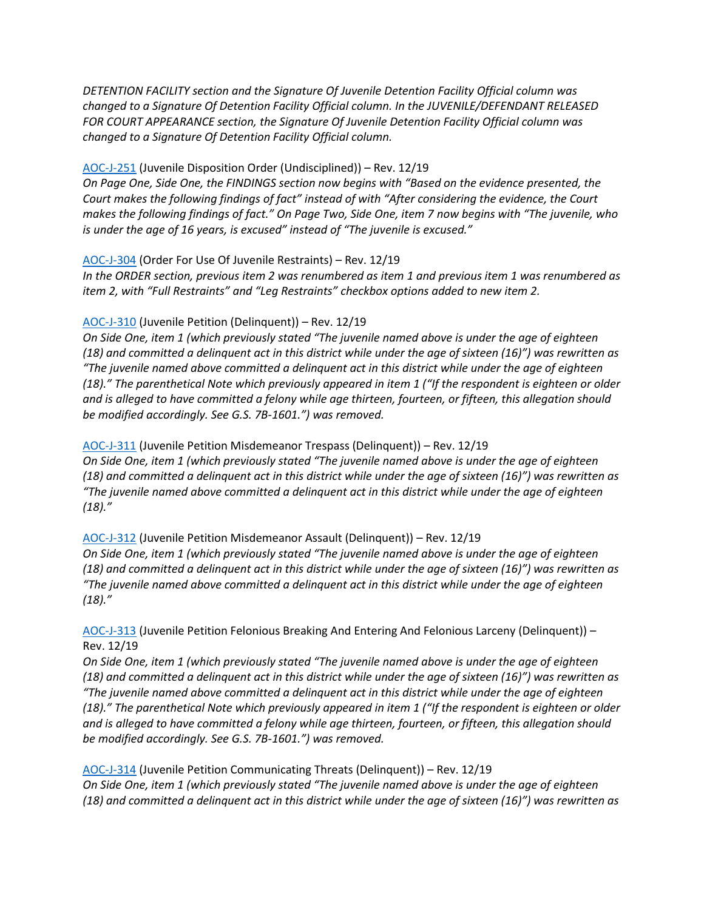*DETENTION FACILITY section and the Signature Of Juvenile Detention Facility Official column was changed to a Signature Of Detention Facility Official column. In the JUVENILE/DEFENDANT RELEASED FOR COURT APPEARANCE section, the Signature Of Juvenile Detention Facility Official column was changed to a Signature Of Detention Facility Official column.*

# [AOC-J-251](https://www.nccourts.gov/documents/forms/juvenile-disposition-order-undisciplined) (Juvenile Disposition Order (Undisciplined)) – Rev. 12/19

*On Page One, Side One, the FINDINGS section now begins with "Based on the evidence presented, the Court makes the following findings of fact" instead of with "After considering the evidence, the Court makes the following findings of fact." On Page Two, Side One, item 7 now begins with "The juvenile, who is under the age of 16 years, is excused" instead of "The juvenile is excused."*

## [AOC-J-304](https://www.nccourts.gov/documents/forms/order-for-use-of-juvenile-restraints) (Order For Use Of Juvenile Restraints) – Rev. 12/19

*In the ORDER section, previous item 2 was renumbered as item 1 and previous item 1 was renumbered as item 2, with "Full Restraints" and "Leg Restraints" checkbox options added to new item 2.*

# [AOC-J-310](https://www.nccourts.gov/documents/forms/juvenile-petition-delinquent) (Juvenile Petition (Delinquent)) – Rev. 12/19

*On Side One, item 1 (which previously stated "The juvenile named above is under the age of eighteen (18) and committed a delinquent act in this district while under the age of sixteen (16)") was rewritten as "The juvenile named above committed a delinquent act in this district while under the age of eighteen (18)." The parenthetical Note which previously appeared in item 1 ("If the respondent is eighteen or older and is alleged to have committed a felony while age thirteen, fourteen, or fifteen, this allegation should be modified accordingly. See G.S. 7B-1601.") was removed.*

# [AOC-J-311](https://www.nccourts.gov/documents/forms/juvenile-petition-misdemeanor-trespass-delinquent) (Juvenile Petition Misdemeanor Trespass (Delinquent)) – Rev. 12/19

*On Side One, item 1 (which previously stated "The juvenile named above is under the age of eighteen (18) and committed a delinquent act in this district while under the age of sixteen (16)") was rewritten as "The juvenile named above committed a delinquent act in this district while under the age of eighteen (18)."*

# [AOC-J-312](https://www.nccourts.gov/documents/forms/juvenile-petition-misdemeanor-assault-delinquent) (Juvenile Petition Misdemeanor Assault (Delinquent)) – Rev. 12/19

*On Side One, item 1 (which previously stated "The juvenile named above is under the age of eighteen (18) and committed a delinquent act in this district while under the age of sixteen (16)") was rewritten as "The juvenile named above committed a delinquent act in this district while under the age of eighteen (18)."*

# [AOC-J-313](https://www.nccourts.gov/documents/forms/juvenile-petition-felonious-breaking-and-entering-and-felonious-larceny-delinquent) (Juvenile Petition Felonious Breaking And Entering And Felonious Larceny (Delinquent)) – Rev. 12/19

*On Side One, item 1 (which previously stated "The juvenile named above is under the age of eighteen (18) and committed a delinquent act in this district while under the age of sixteen (16)") was rewritten as "The juvenile named above committed a delinquent act in this district while under the age of eighteen (18)." The parenthetical Note which previously appeared in item 1 ("If the respondent is eighteen or older and is alleged to have committed a felony while age thirteen, fourteen, or fifteen, this allegation should be modified accordingly. See G.S. 7B-1601.") was removed.*

[AOC-J-314](https://www.nccourts.gov/documents/forms/juvenile-petition-communicating-threats-delinquent) (Juvenile Petition Communicating Threats (Delinquent)) – Rev. 12/19 *On Side One, item 1 (which previously stated "The juvenile named above is under the age of eighteen (18) and committed a delinquent act in this district while under the age of sixteen (16)") was rewritten as*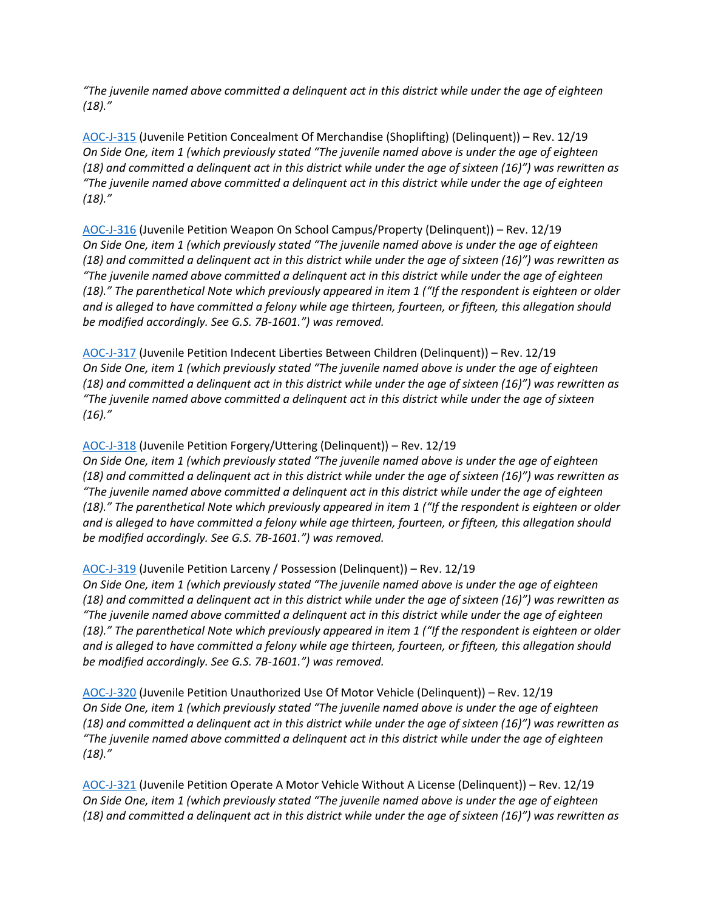*"The juvenile named above committed a delinquent act in this district while under the age of eighteen (18)."*

[AOC-J-315](https://www.nccourts.gov/documents/forms/juvenile-petition-concealment-of-merchandise-shoplifting-delinquent) (Juvenile Petition Concealment Of Merchandise (Shoplifting) (Delinquent)) – Rev. 12/19 *On Side One, item 1 (which previously stated "The juvenile named above is under the age of eighteen (18) and committed a delinquent act in this district while under the age of sixteen (16)") was rewritten as "The juvenile named above committed a delinquent act in this district while under the age of eighteen (18)."*

[AOC-J-316](https://www.nccourts.gov/documents/forms/juvenile-petition-weapon-on-school-campusproperty-delinquent) (Juvenile Petition Weapon On School Campus/Property (Delinquent)) – Rev. 12/19 *On Side One, item 1 (which previously stated "The juvenile named above is under the age of eighteen (18) and committed a delinquent act in this district while under the age of sixteen (16)") was rewritten as "The juvenile named above committed a delinquent act in this district while under the age of eighteen (18)." The parenthetical Note which previously appeared in item 1 ("If the respondent is eighteen or older and is alleged to have committed a felony while age thirteen, fourteen, or fifteen, this allegation should be modified accordingly. See G.S. 7B-1601.") was removed.*

[AOC-J-317](https://www.nccourts.gov/documents/forms/juvenile-petition-indecent-liberties-between-children-delinquent) (Juvenile Petition Indecent Liberties Between Children (Delinquent)) – Rev. 12/19 *On Side One, item 1 (which previously stated "The juvenile named above is under the age of eighteen (18) and committed a delinquent act in this district while under the age of sixteen (16)") was rewritten as "The juvenile named above committed a delinquent act in this district while under the age of sixteen (16)."*

# [AOC-J-318](https://www.nccourts.gov/documents/forms/juvenile-petition-forgeryuttering-delinquent) (Juvenile Petition Forgery/Uttering (Delinquent)) – Rev. 12/19

*On Side One, item 1 (which previously stated "The juvenile named above is under the age of eighteen (18) and committed a delinquent act in this district while under the age of sixteen (16)") was rewritten as "The juvenile named above committed a delinquent act in this district while under the age of eighteen (18)." The parenthetical Note which previously appeared in item 1 ("If the respondent is eighteen or older and is alleged to have committed a felony while age thirteen, fourteen, or fifteen, this allegation should be modified accordingly. See G.S. 7B-1601.") was removed.*

## [AOC-J-319](https://www.nccourts.gov/documents/forms/juvenile-petition-larceny-andor-possession-delinquent) (Juvenile Petition Larceny / Possession (Delinquent)) – Rev. 12/19

*On Side One, item 1 (which previously stated "The juvenile named above is under the age of eighteen (18) and committed a delinquent act in this district while under the age of sixteen (16)") was rewritten as "The juvenile named above committed a delinquent act in this district while under the age of eighteen (18)." The parenthetical Note which previously appeared in item 1 ("If the respondent is eighteen or older and is alleged to have committed a felony while age thirteen, fourteen, or fifteen, this allegation should be modified accordingly. See G.S. 7B-1601.") was removed.*

[AOC-J-320](https://www.nccourts.gov/documents/forms/juvenile-petition-unauthorized-use-of-motor-vehicle-delinquent) (Juvenile Petition Unauthorized Use Of Motor Vehicle (Delinquent)) – Rev. 12/19 *On Side One, item 1 (which previously stated "The juvenile named above is under the age of eighteen (18) and committed a delinquent act in this district while under the age of sixteen (16)") was rewritten as "The juvenile named above committed a delinquent act in this district while under the age of eighteen (18)."*

[AOC-J-321](https://www.nccourts.gov/documents/forms/juvenile-petition-operate-a-motor-vehicle-without-a-license-delinquent) (Juvenile Petition Operate A Motor Vehicle Without A License (Delinquent)) – Rev. 12/19 *On Side One, item 1 (which previously stated "The juvenile named above is under the age of eighteen (18) and committed a delinquent act in this district while under the age of sixteen (16)") was rewritten as*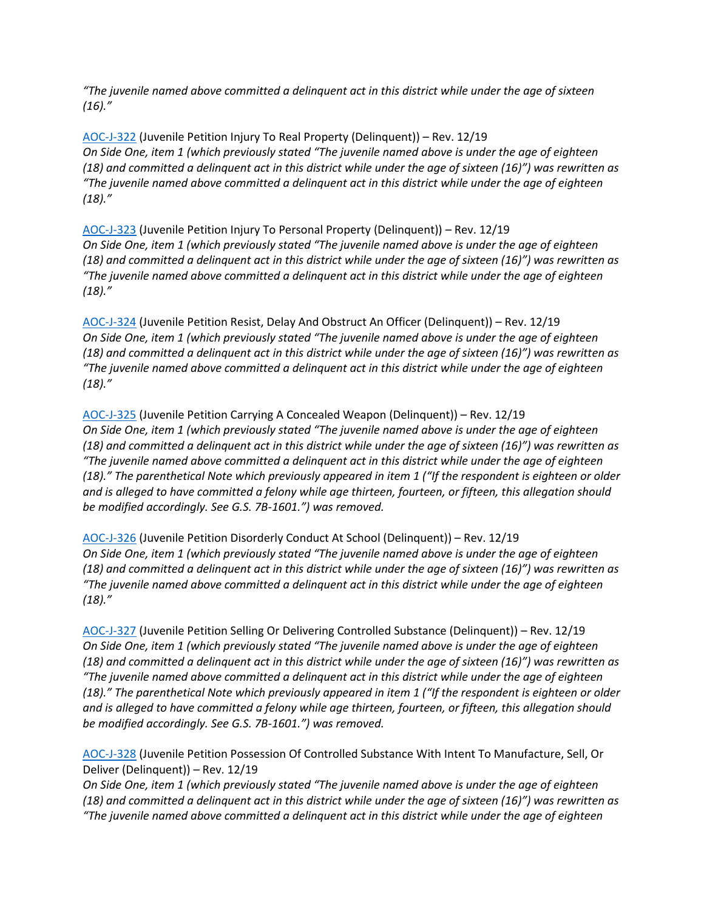*"The juvenile named above committed a delinquent act in this district while under the age of sixteen (16)."*

[AOC-J-322](https://www.nccourts.gov/documents/forms/juvenile-petition-injury-to-real-property-delinquent) (Juvenile Petition Injury To Real Property (Delinquent)) – Rev. 12/19 *On Side One, item 1 (which previously stated "The juvenile named above is under the age of eighteen (18) and committed a delinquent act in this district while under the age of sixteen (16)") was rewritten as "The juvenile named above committed a delinquent act in this district while under the age of eighteen (18)."*

[AOC-J-323](https://www.nccourts.gov/documents/forms/juvenile-petition-injury-to-personal-property-delinquent) (Juvenile Petition Injury To Personal Property (Delinquent)) – Rev. 12/19 *On Side One, item 1 (which previously stated "The juvenile named above is under the age of eighteen (18) and committed a delinquent act in this district while under the age of sixteen (16)") was rewritten as "The juvenile named above committed a delinquent act in this district while under the age of eighteen (18)."*

[AOC-J-324](https://www.nccourts.gov/documents/forms/juvenile-petition-resist-delay-and-obstruct-an-officer-delinquent) (Juvenile Petition Resist, Delay And Obstruct An Officer (Delinquent)) – Rev. 12/19 *On Side One, item 1 (which previously stated "The juvenile named above is under the age of eighteen (18) and committed a delinquent act in this district while under the age of sixteen (16)") was rewritten as "The juvenile named above committed a delinquent act in this district while under the age of eighteen (18)."*

[AOC-J-325](https://www.nccourts.gov/documents/forms/juvenile-petition-carrying-a-concealed-weapon-delinquent) (Juvenile Petition Carrying A Concealed Weapon (Delinquent)) – Rev. 12/19 *On Side One, item 1 (which previously stated "The juvenile named above is under the age of eighteen (18) and committed a delinquent act in this district while under the age of sixteen (16)") was rewritten as "The juvenile named above committed a delinquent act in this district while under the age of eighteen (18)." The parenthetical Note which previously appeared in item 1 ("If the respondent is eighteen or older and is alleged to have committed a felony while age thirteen, fourteen, or fifteen, this allegation should be modified accordingly. See G.S. 7B-1601.") was removed.*

[AOC-J-326](https://www.nccourts.gov/documents/forms/juvenile-petition-disorderly-conduct-at-school-delinquent) (Juvenile Petition Disorderly Conduct At School (Delinquent)) – Rev. 12/19 *On Side One, item 1 (which previously stated "The juvenile named above is under the age of eighteen (18) and committed a delinquent act in this district while under the age of sixteen (16)") was rewritten as "The juvenile named above committed a delinquent act in this district while under the age of eighteen (18)."*

[AOC-J-327](https://www.nccourts.gov/documents/forms/juvenile-petition-selling-or-delivering-controlled-substance-delinquent) (Juvenile Petition Selling Or Delivering Controlled Substance (Delinquent)) – Rev. 12/19 *On Side One, item 1 (which previously stated "The juvenile named above is under the age of eighteen (18) and committed a delinquent act in this district while under the age of sixteen (16)") was rewritten as "The juvenile named above committed a delinquent act in this district while under the age of eighteen (18)." The parenthetical Note which previously appeared in item 1 ("If the respondent is eighteen or older and is alleged to have committed a felony while age thirteen, fourteen, or fifteen, this allegation should be modified accordingly. See G.S. 7B-1601.") was removed.*

[AOC-J-328](https://www.nccourts.gov/documents/forms/juvenile-petition-possession-of-controlled-substance-with-intent-to-manufacture-sell-or-deliver-delinquent) (Juvenile Petition Possession Of Controlled Substance With Intent To Manufacture, Sell, Or Deliver (Delinquent)) – Rev. 12/19

*On Side One, item 1 (which previously stated "The juvenile named above is under the age of eighteen (18) and committed a delinquent act in this district while under the age of sixteen (16)") was rewritten as "The juvenile named above committed a delinquent act in this district while under the age of eighteen*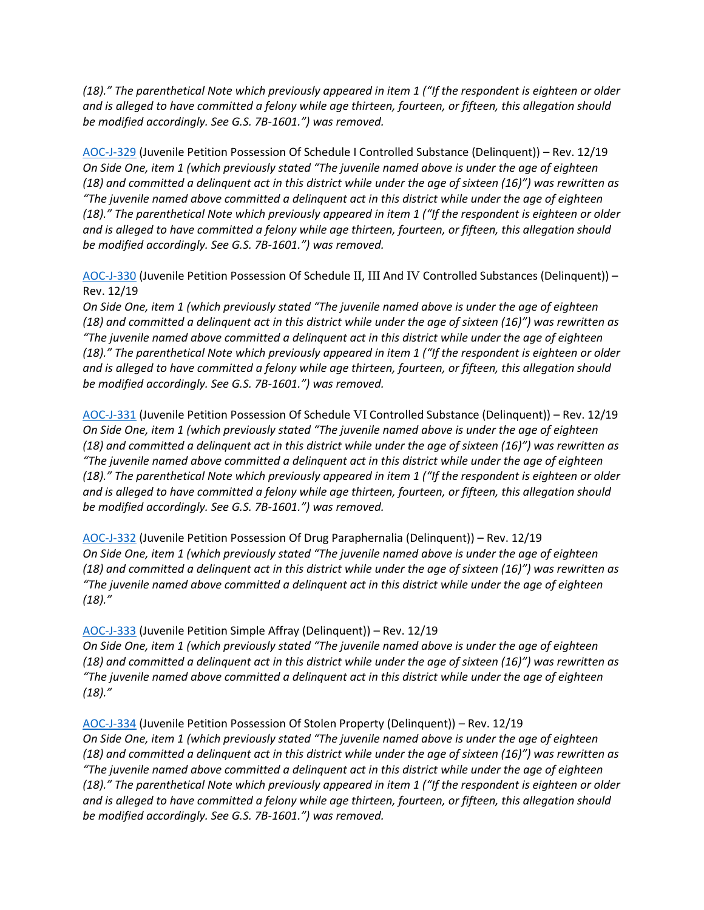*(18)." The parenthetical Note which previously appeared in item 1 ("If the respondent is eighteen or older and is alleged to have committed a felony while age thirteen, fourteen, or fifteen, this allegation should be modified accordingly. See G.S. 7B-1601.") was removed.*

[AOC-J-329](https://www.nccourts.gov/documents/forms/juvenile-petition-possession-of-schedule-i-controlled-substance-delinquent) (Juvenile Petition Possession Of Schedule I Controlled Substance (Delinquent)) – Rev. 12/19 *On Side One, item 1 (which previously stated "The juvenile named above is under the age of eighteen (18) and committed a delinquent act in this district while under the age of sixteen (16)") was rewritten as "The juvenile named above committed a delinquent act in this district while under the age of eighteen (18)." The parenthetical Note which previously appeared in item 1 ("If the respondent is eighteen or older and is alleged to have committed a felony while age thirteen, fourteen, or fifteen, this allegation should be modified accordingly. See G.S. 7B-1601.") was removed.*

[AOC-J-330](https://www.nccourts.gov/documents/forms/juvenile-petition-possession-of-schedule-ii-iii-and-iv-controlled-substances-delinquent) (Juvenile Petition Possession Of Schedule II, III And IV Controlled Substances (Delinquent)) – Rev. 12/19

*On Side One, item 1 (which previously stated "The juvenile named above is under the age of eighteen (18) and committed a delinquent act in this district while under the age of sixteen (16)") was rewritten as "The juvenile named above committed a delinquent act in this district while under the age of eighteen (18)." The parenthetical Note which previously appeared in item 1 ("If the respondent is eighteen or older and is alleged to have committed a felony while age thirteen, fourteen, or fifteen, this allegation should be modified accordingly. See G.S. 7B-1601.") was removed.*

[AOC-J-331](https://www.nccourts.gov/documents/forms/juvenile-petition-possession-of-schedule-vi-controlled-substance-delinquent) (Juvenile Petition Possession Of Schedule VI Controlled Substance (Delinquent)) – Rev. 12/19 *On Side One, item 1 (which previously stated "The juvenile named above is under the age of eighteen (18) and committed a delinquent act in this district while under the age of sixteen (16)") was rewritten as "The juvenile named above committed a delinquent act in this district while under the age of eighteen (18)." The parenthetical Note which previously appeared in item 1 ("If the respondent is eighteen or older and is alleged to have committed a felony while age thirteen, fourteen, or fifteen, this allegation should be modified accordingly. See G.S. 7B-1601.") was removed.*

[AOC-J-332](https://www.nccourts.gov/documents/forms/juvenile-petition-possession-of-drug-paraphernalia-delinquent) (Juvenile Petition Possession Of Drug Paraphernalia (Delinquent)) – Rev. 12/19 *On Side One, item 1 (which previously stated "The juvenile named above is under the age of eighteen (18) and committed a delinquent act in this district while under the age of sixteen (16)") was rewritten as "The juvenile named above committed a delinquent act in this district while under the age of eighteen (18)."*

[AOC-J-333](https://www.nccourts.gov/documents/forms/juvenile-petition-simple-affray-delinquent) (Juvenile Petition Simple Affray (Delinquent)) – Rev. 12/19

*On Side One, item 1 (which previously stated "The juvenile named above is under the age of eighteen (18) and committed a delinquent act in this district while under the age of sixteen (16)") was rewritten as "The juvenile named above committed a delinquent act in this district while under the age of eighteen (18)."*

[AOC-J-334](https://www.nccourts.gov/documents/forms/juvenile-petition-possession-of-stolen-property-delinquent) (Juvenile Petition Possession Of Stolen Property (Delinquent)) – Rev. 12/19 *On Side One, item 1 (which previously stated "The juvenile named above is under the age of eighteen (18) and committed a delinquent act in this district while under the age of sixteen (16)") was rewritten as "The juvenile named above committed a delinquent act in this district while under the age of eighteen (18)." The parenthetical Note which previously appeared in item 1 ("If the respondent is eighteen or older and is alleged to have committed a felony while age thirteen, fourteen, or fifteen, this allegation should be modified accordingly. See G.S. 7B-1601.") was removed.*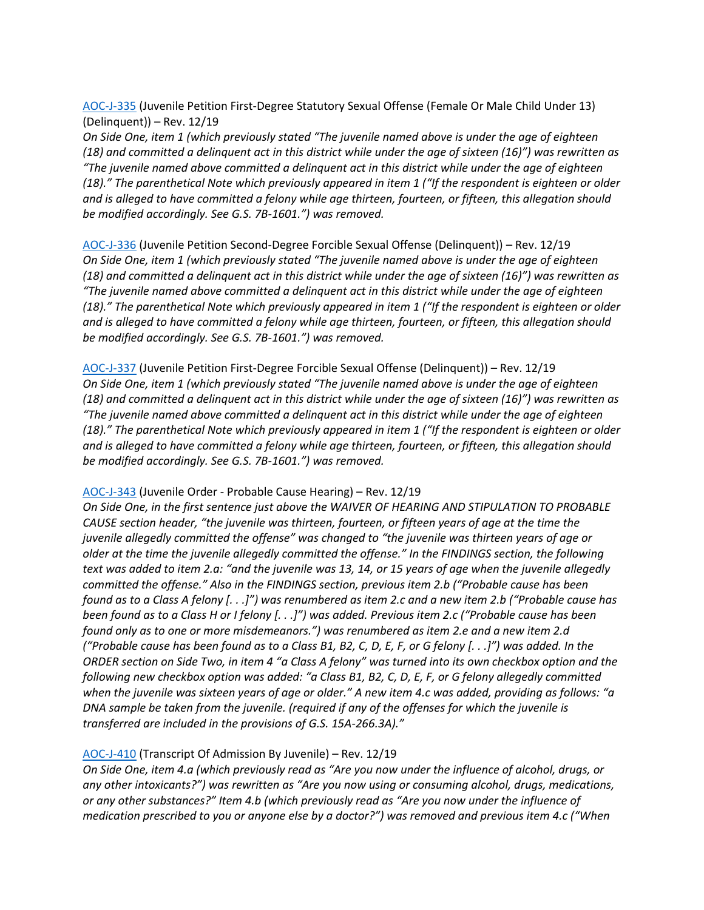[AOC-J-335](https://www.nccourts.gov/documents/forms/juvenile-petition-first-degree-statutory-sexual-offense-female-or-male-child-under-13-delinquent) (Juvenile Petition First-Degree Statutory Sexual Offense (Female Or Male Child Under 13) (Delinquent)) – Rev. 12/19

*On Side One, item 1 (which previously stated "The juvenile named above is under the age of eighteen (18) and committed a delinquent act in this district while under the age of sixteen (16)") was rewritten as "The juvenile named above committed a delinquent act in this district while under the age of eighteen (18)." The parenthetical Note which previously appeared in item 1 ("If the respondent is eighteen or older and is alleged to have committed a felony while age thirteen, fourteen, or fifteen, this allegation should be modified accordingly. See G.S. 7B-1601.") was removed.*

[AOC-J-336](https://www.nccourts.gov/documents/forms/juvenile-petition-second-degree-forcible-sexual-offense-delinquent) (Juvenile Petition Second-Degree Forcible Sexual Offense (Delinquent)) – Rev. 12/19 *On Side One, item 1 (which previously stated "The juvenile named above is under the age of eighteen (18) and committed a delinquent act in this district while under the age of sixteen (16)") was rewritten as "The juvenile named above committed a delinquent act in this district while under the age of eighteen (18)." The parenthetical Note which previously appeared in item 1 ("If the respondent is eighteen or older and is alleged to have committed a felony while age thirteen, fourteen, or fifteen, this allegation should be modified accordingly. See G.S. 7B-1601.") was removed.*

[AOC-J-337](https://www.nccourts.gov/documents/forms/juvenile-petition-first-degree-forcible-sexual-offense-delinquent) (Juvenile Petition First-Degree Forcible Sexual Offense (Delinquent)) – Rev. 12/19 *On Side One, item 1 (which previously stated "The juvenile named above is under the age of eighteen (18) and committed a delinquent act in this district while under the age of sixteen (16)") was rewritten as "The juvenile named above committed a delinquent act in this district while under the age of eighteen (18)." The parenthetical Note which previously appeared in item 1 ("If the respondent is eighteen or older and is alleged to have committed a felony while age thirteen, fourteen, or fifteen, this allegation should be modified accordingly. See G.S. 7B-1601.") was removed.*

#### [AOC-J-343](https://www.nccourts.gov/documents/forms/juvenile-order-probable-cause-hearing) (Juvenile Order - Probable Cause Hearing) – Rev. 12/19

*On Side One, in the first sentence just above the WAIVER OF HEARING AND STIPULATION TO PROBABLE CAUSE section header, "the juvenile was thirteen, fourteen, or fifteen years of age at the time the juvenile allegedly committed the offense" was changed to "the juvenile was thirteen years of age or older at the time the juvenile allegedly committed the offense." In the FINDINGS section, the following text was added to item 2.a: "and the juvenile was 13, 14, or 15 years of age when the juvenile allegedly committed the offense." Also in the FINDINGS section, previous item 2.b ("Probable cause has been found as to a Class A felony [. . .]") was renumbered as item 2.c and a new item 2.b ("Probable cause has been found as to a Class H or I felony [. . .]") was added. Previous item 2.c ("Probable cause has been found only as to one or more misdemeanors.") was renumbered as item 2.e and a new item 2.d ("Probable cause has been found as to a Class B1, B2, C, D, E, F, or G felony [. . .]") was added. In the ORDER section on Side Two, in item 4 "a Class A felony" was turned into its own checkbox option and the following new checkbox option was added: "a Class B1, B2, C, D, E, F, or G felony allegedly committed when the juvenile was sixteen years of age or older." A new item 4.c was added, providing as follows: "a DNA sample be taken from the juvenile. (required if any of the offenses for which the juvenile is transferred are included in the provisions of G.S. 15A-266.3A)."*

## [AOC-J-410](https://www.nccourts.gov/documents/forms/transcript-of-admission-by-juvenile) (Transcript Of Admission By Juvenile) – Rev. 12/19

*On Side One, item 4.a (which previously read as "Are you now under the influence of alcohol, drugs, or any other intoxicants?") was rewritten as "Are you now using or consuming alcohol, drugs, medications, or any other substances?" Item 4.b (which previously read as "Are you now under the influence of medication prescribed to you or anyone else by a doctor?") was removed and previous item 4.c ("When*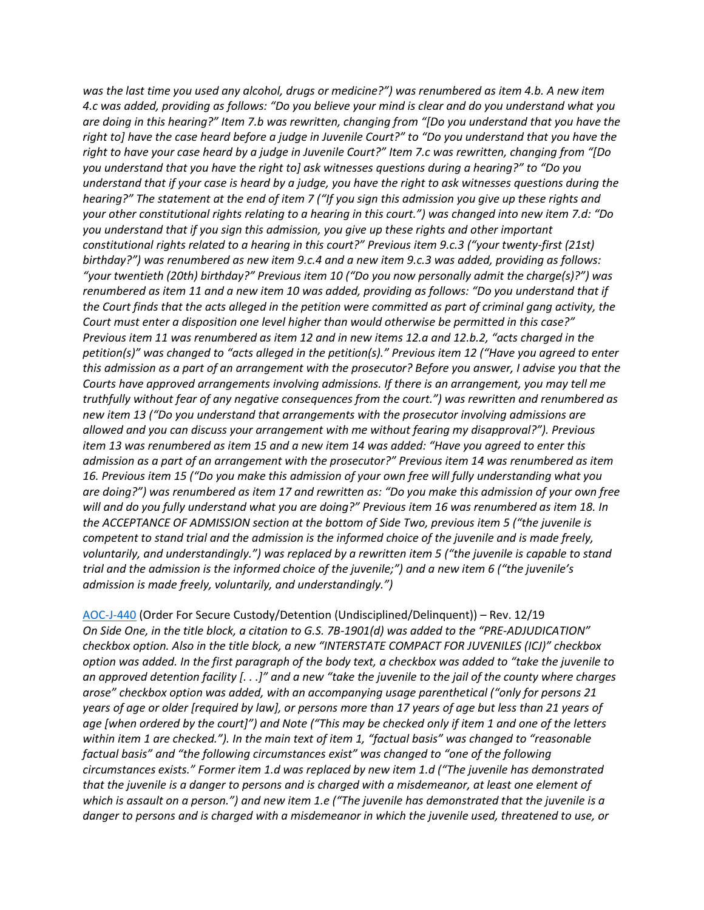*was the last time you used any alcohol, drugs or medicine?") was renumbered as item 4.b. A new item 4.c was added, providing as follows: "Do you believe your mind is clear and do you understand what you are doing in this hearing?" Item 7.b was rewritten, changing from "[Do you understand that you have the right to] have the case heard before a judge in Juvenile Court?" to "Do you understand that you have the right to have your case heard by a judge in Juvenile Court?" Item 7.c was rewritten, changing from "[Do you understand that you have the right to] ask witnesses questions during a hearing?" to "Do you understand that if your case is heard by a judge, you have the right to ask witnesses questions during the hearing?" The statement at the end of item 7 ("If you sign this admission you give up these rights and your other constitutional rights relating to a hearing in this court.") was changed into new item 7.d: "Do you understand that if you sign this admission, you give up these rights and other important constitutional rights related to a hearing in this court?" Previous item 9.c.3 ("your twenty-first (21st) birthday?") was renumbered as new item 9.c.4 and a new item 9.c.3 was added, providing as follows: "your twentieth (20th) birthday?" Previous item 10 ("Do you now personally admit the charge(s)?") was renumbered as item 11 and a new item 10 was added, providing as follows: "Do you understand that if the Court finds that the acts alleged in the petition were committed as part of criminal gang activity, the Court must enter a disposition one level higher than would otherwise be permitted in this case?" Previous item 11 was renumbered as item 12 and in new items 12.a and 12.b.2, "acts charged in the petition(s)" was changed to "acts alleged in the petition(s)." Previous item 12 ("Have you agreed to enter this admission as a part of an arrangement with the prosecutor? Before you answer, I advise you that the Courts have approved arrangements involving admissions. If there is an arrangement, you may tell me truthfully without fear of any negative consequences from the court.") was rewritten and renumbered as new item 13 ("Do you understand that arrangements with the prosecutor involving admissions are allowed and you can discuss your arrangement with me without fearing my disapproval?"). Previous item 13 was renumbered as item 15 and a new item 14 was added: "Have you agreed to enter this admission as a part of an arrangement with the prosecutor?" Previous item 14 was renumbered as item 16. Previous item 15 ("Do you make this admission of your own free will fully understanding what you are doing?") was renumbered as item 17 and rewritten as: "Do you make this admission of your own free will and do you fully understand what you are doing?" Previous item 16 was renumbered as item 18. In the ACCEPTANCE OF ADMISSION section at the bottom of Side Two, previous item 5 ("the juvenile is competent to stand trial and the admission is the informed choice of the juvenile and is made freely, voluntarily, and understandingly.") was replaced by a rewritten item 5 ("the juvenile is capable to stand trial and the admission is the informed choice of the juvenile;") and a new item 6 ("the juvenile's admission is made freely, voluntarily, and understandingly.")*

[AOC-J-440](https://www.nccourts.gov/documents/forms/order-for-secure-custodydetention-undisciplineddelinquent) (Order For Secure Custody/Detention (Undisciplined/Delinquent)) – Rev. 12/19 *On Side One, in the title block, a citation to G.S. 7B-1901(d) was added to the "PRE-ADJUDICATION" checkbox option. Also in the title block, a new "INTERSTATE COMPACT FOR JUVENILES (ICJ)" checkbox option was added. In the first paragraph of the body text, a checkbox was added to "take the juvenile to an approved detention facility [. . .]" and a new "take the juvenile to the jail of the county where charges arose" checkbox option was added, with an accompanying usage parenthetical ("only for persons 21 years of age or older [required by law], or persons more than 17 years of age but less than 21 years of age [when ordered by the court]") and Note ("This may be checked only if item 1 and one of the letters within item 1 are checked."). In the main text of item 1, "factual basis" was changed to "reasonable factual basis" and "the following circumstances exist" was changed to "one of the following circumstances exists." Former item 1.d was replaced by new item 1.d ("The juvenile has demonstrated that the juvenile is a danger to persons and is charged with a misdemeanor, at least one element of which is assault on a person.") and new item 1.e ("The juvenile has demonstrated that the juvenile is a danger to persons and is charged with a misdemeanor in which the juvenile used, threatened to use, or*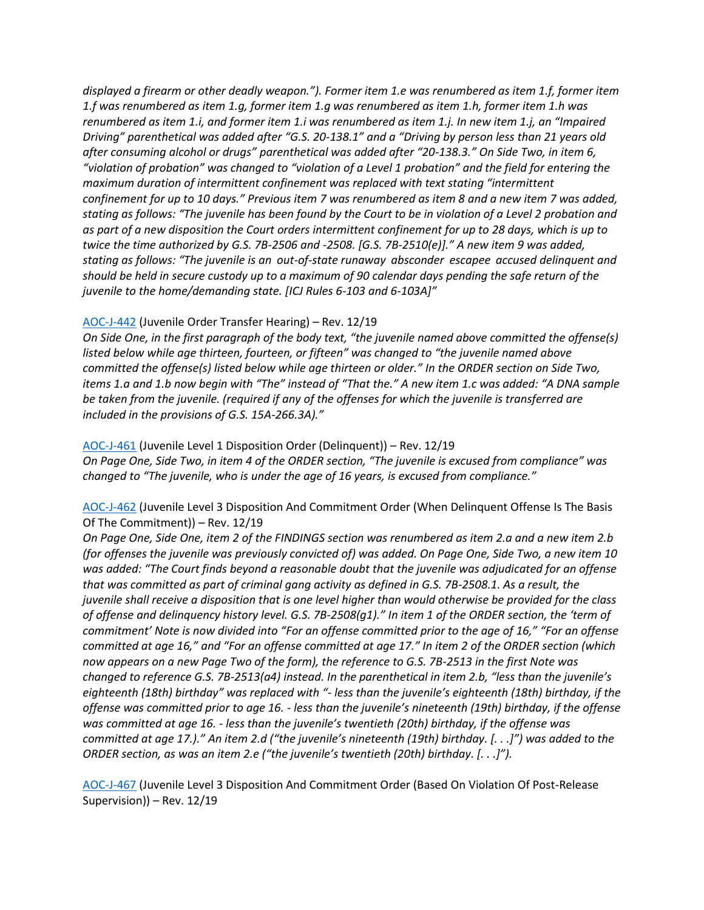*displayed a firearm or other deadly weapon."). Former item 1.e was renumbered as item 1.f, former item 1.f was renumbered as item 1.g, former item 1.g was renumbered as item 1.h, former item 1.h was renumbered as item 1.i, and former item 1.i was renumbered as item 1.j. In new item 1.j, an "Impaired Driving" parenthetical was added after "G.S. 20-138.1" and a "Driving by person less than 21 years old after consuming alcohol or drugs" parenthetical was added after "20-138.3." On Side Two, in item 6, "violation of probation" was changed to "violation of a Level 1 probation" and the field for entering the maximum duration of intermittent confinement was replaced with text stating "intermittent confinement for up to 10 days." Previous item 7 was renumbered as item 8 and a new item 7 was added, stating as follows: "The juvenile has been found by the Court to be in violation of a Level 2 probation and as part of a new disposition the Court orders intermittent confinement for up to 28 days, which is up to twice the time authorized by G.S. 7B-2506 and -2508. [G.S. 7B-2510(e)]." A new item 9 was added, stating as follows: "The juvenile is an out-of-state runaway absconder escapee accused delinquent and should be held in secure custody up to a maximum of 90 calendar days pending the safe return of the juvenile to the home/demanding state. [ICJ Rules 6-103 and 6-103A]"*

# [AOC-J-442](https://www.nccourts.gov/documents/forms/juvenile-order-transfer-hearing) (Juvenile Order Transfer Hearing) – Rev. 12/19

*On Side One, in the first paragraph of the body text, "the juvenile named above committed the offense(s) listed below while age thirteen, fourteen, or fifteen" was changed to "the juvenile named above committed the offense(s) listed below while age thirteen or older." In the ORDER section on Side Two, items 1.a and 1.b now begin with "The" instead of "That the." A new item 1.c was added: "A DNA sample be taken from the juvenile. (required if any of the offenses for which the juvenile is transferred are included in the provisions of G.S. 15A-266.3A)."*

## [AOC-J-461](https://www.nccourts.gov/documents/forms/juvenile-level-1-disposition-order-delinquent) (Juvenile Level 1 Disposition Order (Delinquent)) – Rev. 12/19

*On Page One, Side Two, in item 4 of the ORDER section, "The juvenile is excused from compliance" was changed to "The juvenile, who is under the age of 16 years, is excused from compliance."*

# [AOC-J-462](https://www.nccourts.gov/documents/forms/juvenile-level-3-disposition-and-commitment-order-when-delinquent-offense-is-the-basis-of-the-commitment) (Juvenile Level 3 Disposition And Commitment Order (When Delinquent Offense Is The Basis Of The Commitment)) – Rev. 12/19

*On Page One, Side One, item 2 of the FINDINGS section was renumbered as item 2.a and a new item 2.b (for offenses the juvenile was previously convicted of) was added. On Page One, Side Two, a new item 10 was added: "The Court finds beyond a reasonable doubt that the juvenile was adjudicated for an offense that was committed as part of criminal gang activity as defined in G.S. 7B-2508.1. As a result, the juvenile shall receive a disposition that is one level higher than would otherwise be provided for the class of offense and delinquency history level. G.S. 7B-2508(g1)." In item 1 of the ORDER section, the 'term of commitment' Note is now divided into "For an offense committed prior to the age of 16," "For an offense committed at age 16," and "For an offense committed at age 17." In item 2 of the ORDER section (which now appears on a new Page Two of the form), the reference to G.S. 7B-2513 in the first Note was changed to reference G.S. 7B-2513(a4) instead. In the parenthetical in item 2.b, "less than the juvenile's eighteenth (18th) birthday" was replaced with "- less than the juvenile's eighteenth (18th) birthday, if the offense was committed prior to age 16. - less than the juvenile's nineteenth (19th) birthday, if the offense was committed at age 16. - less than the juvenile's twentieth (20th) birthday, if the offense was committed at age 17.)." An item 2.d ("the juvenile's nineteenth (19th) birthday. [. . .]") was added to the ORDER section, as was an item 2.e ("the juvenile's twentieth (20th) birthday. [. . .]").*

[AOC-J-467](https://www.nccourts.gov/documents/forms/juvenile-level-3-disposition-and-commitment-order-based-on-violation-of-post-release-supervision) (Juvenile Level 3 Disposition And Commitment Order (Based On Violation Of Post-Release Supervision)) – Rev. 12/19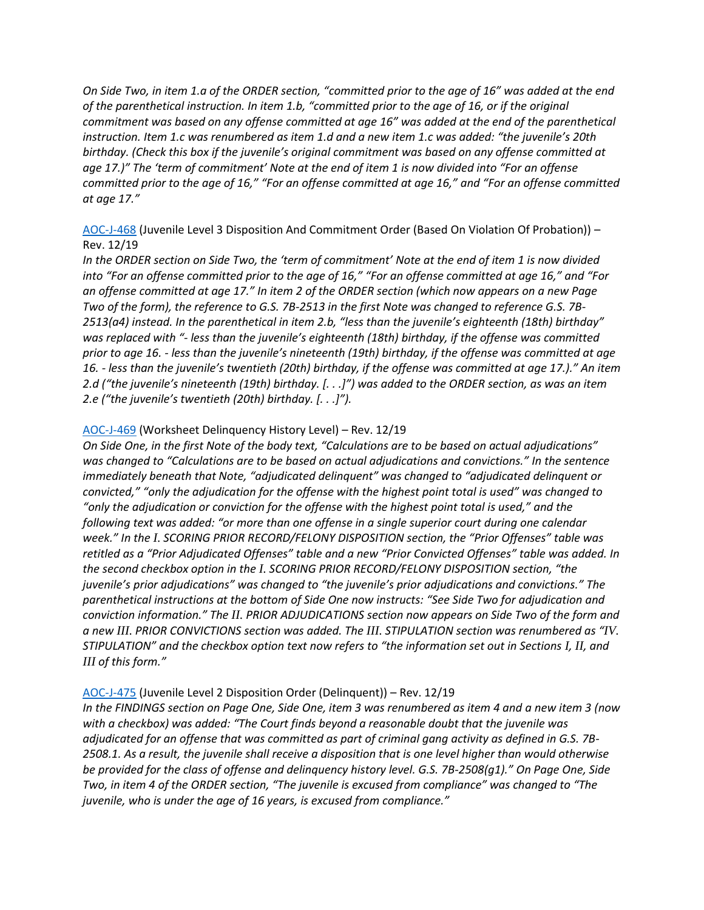*On Side Two, in item 1.a of the ORDER section, "committed prior to the age of 16" was added at the end of the parenthetical instruction. In item 1.b, "committed prior to the age of 16, or if the original commitment was based on any offense committed at age 16" was added at the end of the parenthetical instruction. Item 1.c was renumbered as item 1.d and a new item 1.c was added: "the juvenile's 20th birthday. (Check this box if the juvenile's original commitment was based on any offense committed at age 17.)" The 'term of commitment' Note at the end of item 1 is now divided into "For an offense committed prior to the age of 16," "For an offense committed at age 16," and "For an offense committed at age 17."*

# [AOC-J-468](https://www.nccourts.gov/documents/forms/juvenile-level-3-disposition-and-commitment-order-based-on-violation-of-probation) (Juvenile Level 3 Disposition And Commitment Order (Based On Violation Of Probation)) – Rev. 12/19

*In the ORDER section on Side Two, the 'term of commitment' Note at the end of item 1 is now divided into "For an offense committed prior to the age of 16," "For an offense committed at age 16," and "For an offense committed at age 17." In item 2 of the ORDER section (which now appears on a new Page Two of the form), the reference to G.S. 7B-2513 in the first Note was changed to reference G.S. 7B-2513(a4) instead. In the parenthetical in item 2.b, "less than the juvenile's eighteenth (18th) birthday" was replaced with "- less than the juvenile's eighteenth (18th) birthday, if the offense was committed prior to age 16. - less than the juvenile's nineteenth (19th) birthday, if the offense was committed at age 16. - less than the juvenile's twentieth (20th) birthday, if the offense was committed at age 17.)." An item 2.d ("the juvenile's nineteenth (19th) birthday. [. . .]") was added to the ORDER section, as was an item 2.e ("the juvenile's twentieth (20th) birthday. [. . .]").*

# [AOC-J-469](https://www.nccourts.gov/documents/forms/worksheet-delinquency-history-level) (Worksheet Delinquency History Level) – Rev. 12/19

*On Side One, in the first Note of the body text, "Calculations are to be based on actual adjudications" was changed to "Calculations are to be based on actual adjudications and convictions." In the sentence immediately beneath that Note, "adjudicated delinquent" was changed to "adjudicated delinquent or convicted," "only the adjudication for the offense with the highest point total is used" was changed to "only the adjudication or conviction for the offense with the highest point total is used," and the following text was added: "or more than one offense in a single superior court during one calendar week." In the I. SCORING PRIOR RECORD/FELONY DISPOSITION section, the "Prior Offenses" table was retitled as a "Prior Adjudicated Offenses" table and a new "Prior Convicted Offenses" table was added. In the second checkbox option in the I. SCORING PRIOR RECORD/FELONY DISPOSITION section, "the juvenile's prior adjudications" was changed to "the juvenile's prior adjudications and convictions." The parenthetical instructions at the bottom of Side One now instructs: "See Side Two for adjudication and conviction information." The II. PRIOR ADJUDICATIONS section now appears on Side Two of the form and a new III. PRIOR CONVICTIONS section was added. The III. STIPULATION section was renumbered as "IV. STIPULATION" and the checkbox option text now refers to "the information set out in Sections I, II, and III of this form."*

# [AOC-J-475](https://www.nccourts.gov/documents/forms/juvenile-level-2-disposition-order-delinquent) (Juvenile Level 2 Disposition Order (Delinquent)) – Rev. 12/19

*In the FINDINGS section on Page One, Side One, item 3 was renumbered as item 4 and a new item 3 (now with a checkbox) was added: "The Court finds beyond a reasonable doubt that the juvenile was adjudicated for an offense that was committed as part of criminal gang activity as defined in G.S. 7B-2508.1. As a result, the juvenile shall receive a disposition that is one level higher than would otherwise be provided for the class of offense and delinquency history level. G.S. 7B-2508(g1)." On Page One, Side Two, in item 4 of the ORDER section, "The juvenile is excused from compliance" was changed to "The juvenile, who is under the age of 16 years, is excused from compliance."*